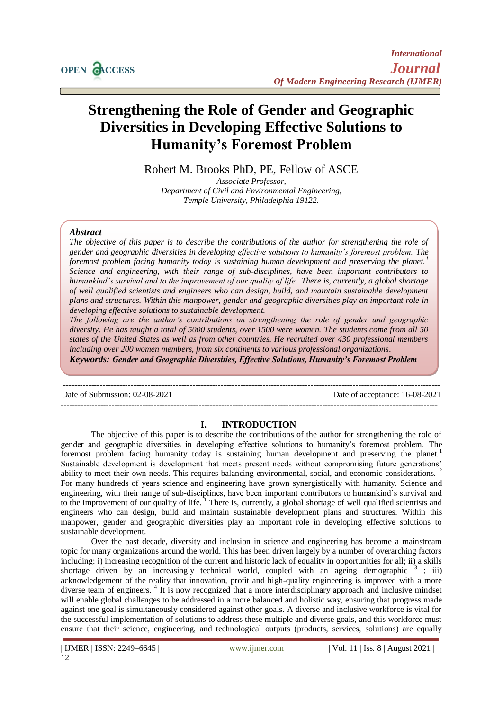# **Strengthening the Role of Gender and Geographic Diversities in Developing Effective Solutions to Humanity's Foremost Problem**

Robert M. Brooks PhD, PE, Fellow of ASCE

*Associate Professor, Department of Civil and Environmental Engineering, Temple University, Philadelphia 19122.*

## *Abstract*

*The objective of this paper is to describe the contributions of the author for strengthening the role of gender and geographic diversities in developing effective solutions to humanity's foremost problem. The foremost problem facing humanity today is sustaining human development and preserving the planet.<sup>1</sup> Science and engineering, with their range of sub-disciplines, have been important contributors to humankind's survival and to the improvement of our quality of life. There is, currently, a global shortage of well qualified scientists and engineers who can design, build, and maintain sustainable development plans and structures. Within this manpower, gender and geographic diversities play an important role in developing effective solutions to sustainable development.* 

*The following are the author's contributions on strengthening the role of gender and geographic diversity. He has taught a total of 5000 students, over 1500 were women. The students come from all 50 states of the United States as well as from other countries. He recruited over 430 professional members including over 200 women members, from six continents to various professional organizations.* 

*Keywords: Gender and Geographic Diversities, Effective Solutions, Humanity's Foremost Problem*

Date of Submission: 02-08-2021 Date of acceptance: 16-08-2021

--------------------------------------------------------------------------------------------------------------------------------------

--------------------------------------------------------------------------------------------------------------------------------------

## **I. INTRODUCTION**

The objective of this paper is to describe the contributions of the author for strengthening the role of gender and geographic diversities in developing effective solutions to humanity's foremost problem. The foremost problem facing humanity today is sustaining human development and preserving the planet.<sup>1</sup> Sustainable development is development that meets present needs without compromising future generations' ability to meet their own needs. This requires balancing environmental, social, and economic considerations.<sup>2</sup> For many hundreds of years science and engineering have grown synergistically with humanity. Science and engineering, with their range of sub-disciplines, have been important contributors to humankind's survival and to the improvement of our quality of life.<sup>1</sup> There is, currently, a global shortage of well qualified scientists and engineers who can design, build and maintain sustainable development plans and structures. Within this manpower, gender and geographic diversities play an important role in developing effective solutions to sustainable development.

Over the past decade, diversity and inclusion in science and engineering has become a mainstream topic for many organizations around the world. This has been driven largely by a number of overarching factors including: i) increasing recognition of the current and historic lack of equality in opportunities for all; ii) a skills shortage driven by an increasingly technical world, coupled with an ageing demographic  $\frac{3}{3}$ ; iii) acknowledgement of the reality that innovation, profit and high-quality engineering is improved with a more diverse team of engineers.<sup>4</sup> It is now recognized that a more interdisciplinary approach and inclusive mindset will enable global challenges to be addressed in a more balanced and holistic way, ensuring that progress made against one goal is simultaneously considered against other goals. A diverse and inclusive workforce is vital for the successful implementation of solutions to address these multiple and diverse goals, and this workforce must ensure that their science, engineering, and technological outputs (products, services, solutions) are equally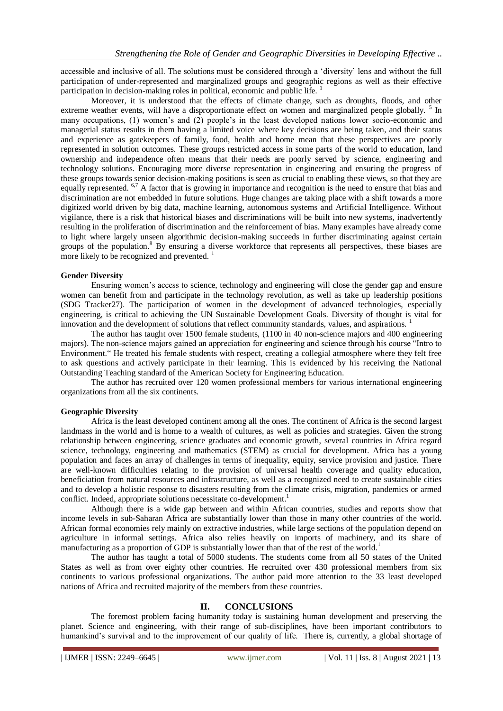accessible and inclusive of all. The solutions must be considered through a 'diversity' lens and without the full participation of under-represented and marginalized groups and geographic regions as well as their effective participation in decision-making roles in political, economic and public life.<sup>1</sup>

Moreover, it is understood that the effects of climate change, such as droughts, floods, and other extreme weather events, will have a disproportionate effect on women and marginalized people globally.<sup>5</sup> In many occupations, (1) women's and (2) people's in the least developed nations lower socio-economic and managerial status results in them having a limited voice where key decisions are being taken, and their status and experience as gatekeepers of family, food, health and home mean that these perspectives are poorly represented in solution outcomes. These groups restricted access in some parts of the world to education, land ownership and independence often means that their needs are poorly served by science, engineering and technology solutions. Encouraging more diverse representation in engineering and ensuring the progress of these groups towards senior decision-making positions is seen as crucial to enabling these views, so that they are equally represented. <sup>6,7</sup> A factor that is growing in importance and recognition is the need to ensure that bias and discrimination are not embedded in future solutions. Huge changes are taking place with a shift towards a more digitized world driven by big data, machine learning, autonomous systems and Artificial Intelligence. Without vigilance, there is a risk that historical biases and discriminations will be built into new systems, inadvertently resulting in the proliferation of discrimination and the reinforcement of bias. Many examples have already come to light where largely unseen algorithmic decision-making succeeds in further discriminating against certain groups of the population.<sup>8</sup> By ensuring a diverse workforce that represents all perspectives, these biases are more likely to be recognized and prevented.<sup>1</sup>

#### **Gender Diversity**

Ensuring women's access to science, technology and engineering will close the gender gap and ensure women can benefit from and participate in the technology revolution, as well as take up leadership positions (SDG Tracker27). The participation of women in the development of advanced technologies, especially engineering, is critical to achieving the UN Sustainable Development Goals. Diversity of thought is vital for innovation and the development of solutions that reflect community standards, values, and aspirations. <sup>1</sup>

The author has taught over 1500 female students, (1100 in 40 non-science majors and 400 engineering majors). The non-science majors gained an appreciation for engineering and science through his course "Intro to Environment." He treated his female students with respect, creating a collegial atmosphere where they felt free to ask questions and actively participate in their learning. This is evidenced by his receiving the National Outstanding Teaching standard of the American Society for Engineering Education.

The author has recruited over 120 women professional members for various international engineering organizations from all the six continents.

#### **Geographic Diversity**

Africa is the least developed continent among all the ones. The continent of Africa is the second largest landmass in the world and is home to a wealth of cultures, as well as policies and strategies. Given the strong relationship between engineering, science graduates and economic growth, several countries in Africa regard science, technology, engineering and mathematics (STEM) as crucial for development. Africa has a young population and faces an array of challenges in terms of inequality, equity, service provision and justice. There are well-known difficulties relating to the provision of universal health coverage and quality education, beneficiation from natural resources and infrastructure, as well as a recognized need to create sustainable cities and to develop a holistic response to disasters resulting from the climate crisis, migration, pandemics or armed conflict. Indeed, appropriate solutions necessitate co-development.<sup>1</sup>

Although there is a wide gap between and within African countries, studies and reports show that income levels in sub-Saharan Africa are substantially lower than those in many other countries of the world. African formal economies rely mainly on extractive industries, while large sections of the population depend on agriculture in informal settings. Africa also relies heavily on imports of machinery, and its share of manufacturing as a proportion of GDP is substantially lower than that of the rest of the world.<sup>1</sup>

The author has taught a total of 5000 students. The students come from all 50 states of the United States as well as from over eighty other countries. He recruited over 430 professional members from six continents to various professional organizations. The author paid more attention to the 33 least developed nations of Africa and recruited majority of the members from these countries.

### **II. CONCLUSIONS**

The foremost problem facing humanity today is sustaining human development and preserving the planet. Science and engineering, with their range of sub-disciplines, have been important contributors to humankind's survival and to the improvement of our quality of life. There is, currently, a global shortage of